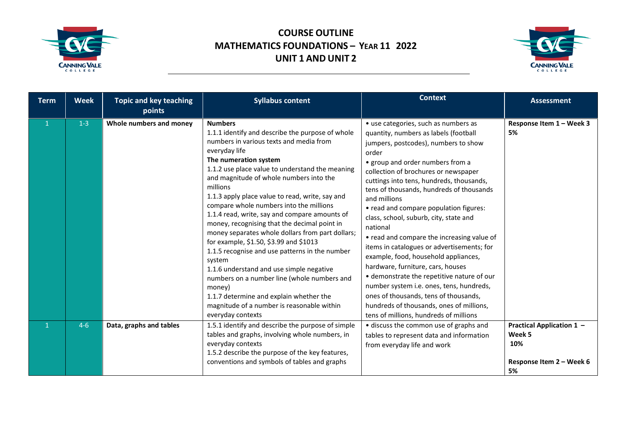



| <b>Term</b>  | <b>Week</b> | <b>Topic and key teaching</b><br>points | <b>Syllabus content</b>                                                                                                                                                                                                                                                                                                                                                                                                                                                                                                                                                                                                                                                                                                                                                                                                                       | <b>Context</b>                                                                                                                                                                                                                                                                                                                                                                                                                                                                                                                                                                                                                                                                                                                                                                                                       | <b>Assessment</b>                                                                   |
|--------------|-------------|-----------------------------------------|-----------------------------------------------------------------------------------------------------------------------------------------------------------------------------------------------------------------------------------------------------------------------------------------------------------------------------------------------------------------------------------------------------------------------------------------------------------------------------------------------------------------------------------------------------------------------------------------------------------------------------------------------------------------------------------------------------------------------------------------------------------------------------------------------------------------------------------------------|----------------------------------------------------------------------------------------------------------------------------------------------------------------------------------------------------------------------------------------------------------------------------------------------------------------------------------------------------------------------------------------------------------------------------------------------------------------------------------------------------------------------------------------------------------------------------------------------------------------------------------------------------------------------------------------------------------------------------------------------------------------------------------------------------------------------|-------------------------------------------------------------------------------------|
| 1            | $1 - 3$     | Whole numbers and money                 | <b>Numbers</b><br>1.1.1 identify and describe the purpose of whole<br>numbers in various texts and media from<br>everyday life<br>The numeration system<br>1.1.2 use place value to understand the meaning<br>and magnitude of whole numbers into the<br>millions<br>1.1.3 apply place value to read, write, say and<br>compare whole numbers into the millions<br>1.1.4 read, write, say and compare amounts of<br>money, recognising that the decimal point in<br>money separates whole dollars from part dollars;<br>for example, \$1.50, \$3.99 and \$1013<br>1.1.5 recognise and use patterns in the number<br>system<br>1.1.6 understand and use simple negative<br>numbers on a number line (whole numbers and<br>money)<br>1.1.7 determine and explain whether the<br>magnitude of a number is reasonable within<br>everyday contexts | • use categories, such as numbers as<br>quantity, numbers as labels (football<br>jumpers, postcodes), numbers to show<br>order<br>• group and order numbers from a<br>collection of brochures or newspaper<br>cuttings into tens, hundreds, thousands,<br>tens of thousands, hundreds of thousands<br>and millions<br>• read and compare population figures:<br>class, school, suburb, city, state and<br>national<br>• read and compare the increasing value of<br>items in catalogues or advertisements; for<br>example, food, household appliances,<br>hardware, furniture, cars, houses<br>• demonstrate the repetitive nature of our<br>number system i.e. ones, tens, hundreds,<br>ones of thousands, tens of thousands,<br>hundreds of thousands, ones of millions,<br>tens of millions, hundreds of millions | Response Item 1 - Week 3<br>5%                                                      |
| $\mathbf{1}$ | $4-6$       | Data, graphs and tables                 | 1.5.1 identify and describe the purpose of simple<br>tables and graphs, involving whole numbers, in<br>everyday contexts<br>1.5.2 describe the purpose of the key features,<br>conventions and symbols of tables and graphs                                                                                                                                                                                                                                                                                                                                                                                                                                                                                                                                                                                                                   | · discuss the common use of graphs and<br>tables to represent data and information<br>from everyday life and work                                                                                                                                                                                                                                                                                                                                                                                                                                                                                                                                                                                                                                                                                                    | <b>Practical Application 1 -</b><br>Week 5<br>10%<br>Response Item 2 - Week 6<br>5% |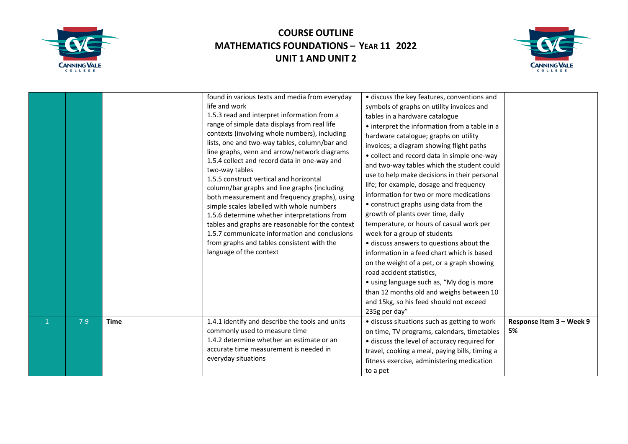



|                |       |             | found in various texts and media from everyday<br>life and work<br>1.5.3 read and interpret information from a<br>range of simple data displays from real life<br>contexts (involving whole numbers), including<br>lists, one and two-way tables, column/bar and<br>line graphs, venn and arrow/network diagrams<br>1.5.4 collect and record data in one-way and<br>two-way tables<br>1.5.5 construct vertical and horizontal<br>column/bar graphs and line graphs (including<br>both measurement and frequency graphs), using<br>simple scales labelled with whole numbers<br>1.5.6 determine whether interpretations from | • discuss the key features, conventions and<br>symbols of graphs on utility invoices and<br>tables in a hardware catalogue<br>• interpret the information from a table in a<br>hardware catalogue; graphs on utility<br>invoices; a diagram showing flight paths<br>• collect and record data in simple one-way<br>and two-way tables which the student could<br>use to help make decisions in their personal<br>life; for example, dosage and frequency<br>information for two or more medications<br>• construct graphs using data from the<br>growth of plants over time, daily |                                |
|----------------|-------|-------------|-----------------------------------------------------------------------------------------------------------------------------------------------------------------------------------------------------------------------------------------------------------------------------------------------------------------------------------------------------------------------------------------------------------------------------------------------------------------------------------------------------------------------------------------------------------------------------------------------------------------------------|------------------------------------------------------------------------------------------------------------------------------------------------------------------------------------------------------------------------------------------------------------------------------------------------------------------------------------------------------------------------------------------------------------------------------------------------------------------------------------------------------------------------------------------------------------------------------------|--------------------------------|
| $\overline{1}$ | $7-9$ | <b>Time</b> | tables and graphs are reasonable for the context<br>1.5.7 communicate information and conclusions<br>from graphs and tables consistent with the<br>language of the context<br>1.4.1 identify and describe the tools and units<br>commonly used to measure time<br>1.4.2 determine whether an estimate or an                                                                                                                                                                                                                                                                                                                 | temperature, or hours of casual work per<br>week for a group of students<br>• discuss answers to questions about the<br>information in a feed chart which is based<br>on the weight of a pet, or a graph showing<br>road accident statistics,<br>• using language such as, "My dog is more<br>than 12 months old and weighs between 10<br>and 15kg, so his feed should not exceed<br>235g per day"<br>• discuss situations such as getting to work<br>on time, TV programs, calendars, timetables<br>• discuss the level of accuracy required for                                  | Response Item 3 - Week 9<br>5% |
|                |       |             | accurate time measurement is needed in<br>everyday situations                                                                                                                                                                                                                                                                                                                                                                                                                                                                                                                                                               | travel, cooking a meal, paying bills, timing a<br>fitness exercise, administering medication<br>to a pet                                                                                                                                                                                                                                                                                                                                                                                                                                                                           |                                |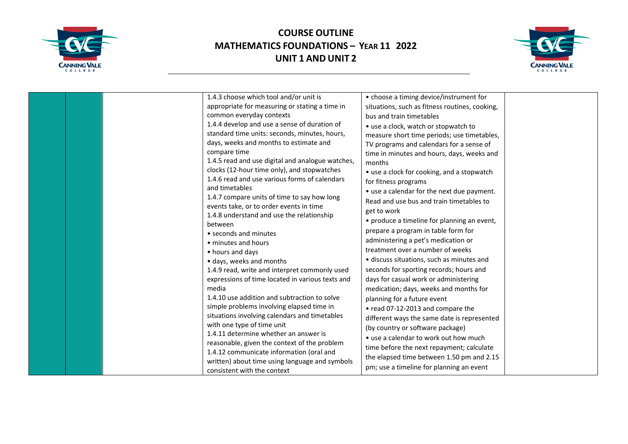



| 1.4.3 choose which tool and/or unit is<br>appropriate for measuring or stating a time in<br>common everyday contexts<br>1.4.4 develop and use a sense of duration of<br>standard time units: seconds, minutes, hours,<br>days, weeks and months to estimate and<br>compare time<br>1.4.5 read and use digital and analogue watches,<br>clocks (12-hour time only), and stopwatches<br>1.4.6 read and use various forms of calendars<br>and timetables<br>1.4.7 compare units of time to say how long<br>events take, or to order events in time<br>1.4.8 understand and use the relationship<br>between<br>• seconds and minutes<br>• minutes and hours<br>• hours and days<br>· days, weeks and months | • choose a timing device/instrument for<br>situations, such as fitness routines, cooking,<br>bus and train timetables<br>• use a clock, watch or stopwatch to<br>measure short time periods; use timetables,<br>TV programs and calendars for a sense of<br>time in minutes and hours, days, weeks and<br>months<br>• use a clock for cooking, and a stopwatch<br>for fitness programs<br>• use a calendar for the next due payment.<br>Read and use bus and train timetables to<br>get to work<br>• produce a timeline for planning an event,<br>prepare a program in table form for<br>administering a pet's medication or<br>treatment over a number of weeks<br>· discuss situations, such as minutes and |  |
|---------------------------------------------------------------------------------------------------------------------------------------------------------------------------------------------------------------------------------------------------------------------------------------------------------------------------------------------------------------------------------------------------------------------------------------------------------------------------------------------------------------------------------------------------------------------------------------------------------------------------------------------------------------------------------------------------------|---------------------------------------------------------------------------------------------------------------------------------------------------------------------------------------------------------------------------------------------------------------------------------------------------------------------------------------------------------------------------------------------------------------------------------------------------------------------------------------------------------------------------------------------------------------------------------------------------------------------------------------------------------------------------------------------------------------|--|
| 1.4.9 read, write and interpret commonly used<br>expressions of time located in various texts and<br>media<br>1.4.10 use addition and subtraction to solve<br>simple problems involving elapsed time in<br>situations involving calendars and timetables<br>with one type of time unit<br>1.4.11 determine whether an answer is<br>reasonable, given the context of the problem<br>1.4.12 communicate information (oral and<br>written) about time using language and symbols<br>consistent with the context                                                                                                                                                                                            | seconds for sporting records; hours and<br>days for casual work or administering<br>medication; days, weeks and months for<br>planning for a future event<br>• read 07-12-2013 and compare the<br>different ways the same date is represented<br>(by country or software package)<br>• use a calendar to work out how much<br>time before the next repayment; calculate<br>the elapsed time between 1.50 pm and 2.15<br>pm; use a timeline for planning an event                                                                                                                                                                                                                                              |  |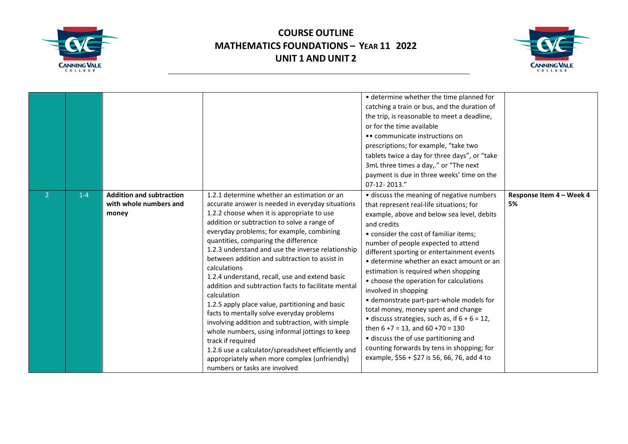



|                |         |                                                                    |                                                                                                                                                                                                                                                                                                                                                                                                                                                                                                                                                                                                                                                                                                                                                                                                                                                                                                  | • determine whether the time planned for<br>catching a train or bus, and the duration of<br>the trip, is reasonable to meet a deadline,<br>or for the time available<br>• communicate instructions on<br>prescriptions; for example, "take two<br>tablets twice a day for three days", or "take<br>3mL three times a day,." or "The next<br>payment is due in three weeks' time on the<br>07-12-2013."                                                                                                                                                                                                                                                                                                                                                             |                                |
|----------------|---------|--------------------------------------------------------------------|--------------------------------------------------------------------------------------------------------------------------------------------------------------------------------------------------------------------------------------------------------------------------------------------------------------------------------------------------------------------------------------------------------------------------------------------------------------------------------------------------------------------------------------------------------------------------------------------------------------------------------------------------------------------------------------------------------------------------------------------------------------------------------------------------------------------------------------------------------------------------------------------------|--------------------------------------------------------------------------------------------------------------------------------------------------------------------------------------------------------------------------------------------------------------------------------------------------------------------------------------------------------------------------------------------------------------------------------------------------------------------------------------------------------------------------------------------------------------------------------------------------------------------------------------------------------------------------------------------------------------------------------------------------------------------|--------------------------------|
| $\overline{2}$ | $1 - 4$ | <b>Addition and subtraction</b><br>with whole numbers and<br>money | 1.2.1 determine whether an estimation or an<br>accurate answer is needed in everyday situations<br>1.2.2 choose when it is appropriate to use<br>addition or subtraction to solve a range of<br>everyday problems; for example, combining<br>quantities, comparing the difference<br>1.2.3 understand and use the inverse relationship<br>between addition and subtraction to assist in<br>calculations<br>1.2.4 understand, recall, use and extend basic<br>addition and subtraction facts to facilitate mental<br>calculation<br>1.2.5 apply place value, partitioning and basic<br>facts to mentally solve everyday problems<br>involving addition and subtraction, with simple<br>whole numbers, using informal jottings to keep<br>track if required<br>1.2.6 use a calculator/spreadsheet efficiently and<br>appropriately when more complex (unfriendly)<br>numbers or tasks are involved | • discuss the meaning of negative numbers<br>that represent real-life situations; for<br>example, above and below sea level, debits<br>and credits<br>• consider the cost of familiar items;<br>number of people expected to attend<br>different sporting or entertainment events<br>• determine whether an exact amount or an<br>estimation is required when shopping<br>• choose the operation for calculations<br>involved in shopping<br>• demonstrate part-part-whole models for<br>total money, money spent and change<br>• discuss strategies, such as, if $6 + 6 = 12$ ,<br>then $6 + 7 = 13$ , and $60 + 70 = 130$<br>• discuss the of use partitioning and<br>counting forwards by tens in shopping; for<br>example, \$56 + \$27 is 56, 66, 76, add 4 to | Response Item 4 - Week 4<br>5% |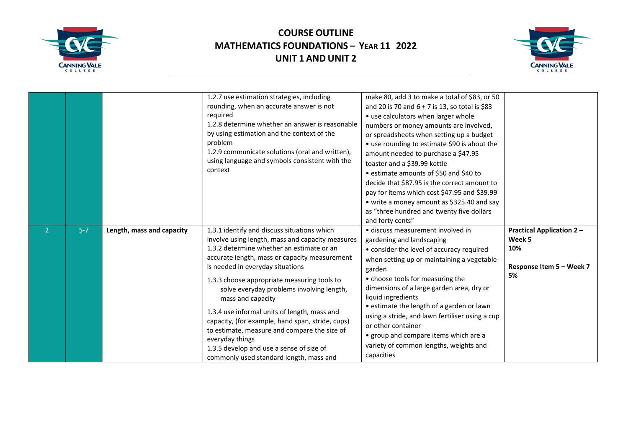



|                |         |                           | 1.2.7 use estimation strategies, including<br>rounding, when an accurate answer is not<br>required<br>1.2.8 determine whether an answer is reasonable<br>by using estimation and the context of the<br>problem<br>1.2.9 communicate solutions (oral and written),<br>using language and symbols consistent with the<br>context                                                                                                                                                                                                                                                                                   | make 80, add 3 to make a total of \$83, or 50<br>and 20 is 70 and 6 + 7 is 13, so total is \$83<br>• use calculators when larger whole<br>numbers or money amounts are involved,<br>or spreadsheets when setting up a budget<br>• use rounding to estimate \$90 is about the<br>amount needed to purchase a \$47.95<br>toaster and a \$39.99 kettle<br>• estimate amounts of \$50 and \$40 to<br>decide that \$87.95 is the correct amount to<br>pay for items which cost \$47.95 and \$39.99<br>• write a money amount as \$325.40 and say<br>as "three hundred and twenty five dollars<br>and forty cents" |                                                                                    |
|----------------|---------|---------------------------|------------------------------------------------------------------------------------------------------------------------------------------------------------------------------------------------------------------------------------------------------------------------------------------------------------------------------------------------------------------------------------------------------------------------------------------------------------------------------------------------------------------------------------------------------------------------------------------------------------------|--------------------------------------------------------------------------------------------------------------------------------------------------------------------------------------------------------------------------------------------------------------------------------------------------------------------------------------------------------------------------------------------------------------------------------------------------------------------------------------------------------------------------------------------------------------------------------------------------------------|------------------------------------------------------------------------------------|
| 2 <sup>1</sup> | $5 - 7$ | Length, mass and capacity | 1.3.1 identify and discuss situations which<br>involve using length, mass and capacity measures<br>1.3.2 determine whether an estimate or an<br>accurate length, mass or capacity measurement<br>is needed in everyday situations<br>1.3.3 choose appropriate measuring tools to<br>solve everyday problems involving length,<br>mass and capacity<br>1.3.4 use informal units of length, mass and<br>capacity, (for example, hand span, stride, cups)<br>to estimate, measure and compare the size of<br>everyday things<br>1.3.5 develop and use a sense of size of<br>commonly used standard length, mass and | · discuss measurement involved in<br>gardening and landscaping<br>• consider the level of accuracy required<br>when setting up or maintaining a vegetable<br>garden<br>• choose tools for measuring the<br>dimensions of a large garden area, dry or<br>liquid ingredients<br>• estimate the length of a garden or lawn<br>using a stride, and lawn fertiliser using a cup<br>or other container<br>• group and compare items which are a<br>variety of common lengths, weights and<br>capacities                                                                                                            | <b>Practical Application 2-</b><br>Week 5<br>10%<br>Response Item 5 - Week 7<br>5% |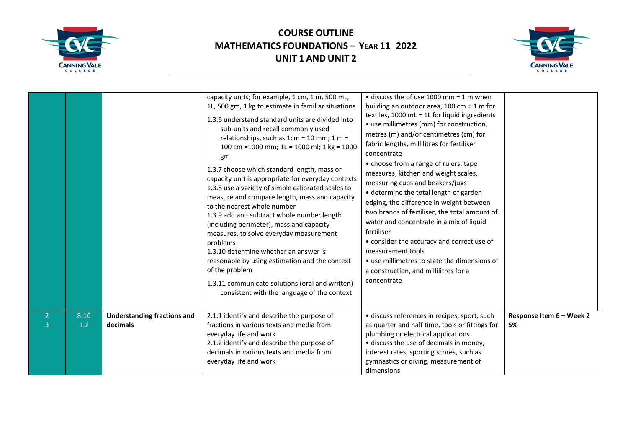



|                                  |                   |                                                | capacity units; for example, 1 cm, 1 m, 500 mL,<br>1L, 500 gm, 1 kg to estimate in familiar situations<br>1.3.6 understand standard units are divided into<br>sub-units and recall commonly used<br>relationships, such as $1cm = 10$ mm; $1 m =$<br>100 cm = 1000 mm; 1L = 1000 ml; 1 kg = 1000<br>gm<br>1.3.7 choose which standard length, mass or<br>capacity unit is appropriate for everyday contexts<br>1.3.8 use a variety of simple calibrated scales to<br>measure and compare length, mass and capacity<br>to the nearest whole number<br>1.3.9 add and subtract whole number length<br>(including perimeter), mass and capacity<br>measures, to solve everyday measurement<br>problems<br>1.3.10 determine whether an answer is<br>reasonable by using estimation and the context<br>of the problem<br>1.3.11 communicate solutions (oral and written)<br>consistent with the language of the context | • discuss the of use 1000 mm = 1 m when<br>building an outdoor area, $100$ cm = 1 m for<br>textiles, 1000 mL = 1L for liquid ingredients<br>• use millimetres (mm) for construction,<br>metres (m) and/or centimetres (cm) for<br>fabric lengths, millilitres for fertiliser<br>concentrate<br>• choose from a range of rulers, tape<br>measures, kitchen and weight scales,<br>measuring cups and beakers/jugs<br>• determine the total length of garden<br>edging, the difference in weight between<br>two brands of fertiliser, the total amount of<br>water and concentrate in a mix of liquid<br>fertiliser<br>• consider the accuracy and correct use of<br>measurement tools<br>• use millimetres to state the dimensions of<br>a construction, and millilitres for a<br>concentrate |                                |
|----------------------------------|-------------------|------------------------------------------------|-------------------------------------------------------------------------------------------------------------------------------------------------------------------------------------------------------------------------------------------------------------------------------------------------------------------------------------------------------------------------------------------------------------------------------------------------------------------------------------------------------------------------------------------------------------------------------------------------------------------------------------------------------------------------------------------------------------------------------------------------------------------------------------------------------------------------------------------------------------------------------------------------------------------|---------------------------------------------------------------------------------------------------------------------------------------------------------------------------------------------------------------------------------------------------------------------------------------------------------------------------------------------------------------------------------------------------------------------------------------------------------------------------------------------------------------------------------------------------------------------------------------------------------------------------------------------------------------------------------------------------------------------------------------------------------------------------------------------|--------------------------------|
| $\overline{2}$<br>$\overline{3}$ | $8 - 10$<br>$1-2$ | <b>Understanding fractions and</b><br>decimals | 2.1.1 identify and describe the purpose of<br>fractions in various texts and media from                                                                                                                                                                                                                                                                                                                                                                                                                                                                                                                                                                                                                                                                                                                                                                                                                           | · discuss references in recipes, sport, such                                                                                                                                                                                                                                                                                                                                                                                                                                                                                                                                                                                                                                                                                                                                                | Response Item 6 - Week 2<br>5% |
|                                  |                   |                                                | everyday life and work                                                                                                                                                                                                                                                                                                                                                                                                                                                                                                                                                                                                                                                                                                                                                                                                                                                                                            | as quarter and half time, tools or fittings for<br>plumbing or electrical applications                                                                                                                                                                                                                                                                                                                                                                                                                                                                                                                                                                                                                                                                                                      |                                |
|                                  |                   |                                                | 2.1.2 identify and describe the purpose of                                                                                                                                                                                                                                                                                                                                                                                                                                                                                                                                                                                                                                                                                                                                                                                                                                                                        | · discuss the use of decimals in money,                                                                                                                                                                                                                                                                                                                                                                                                                                                                                                                                                                                                                                                                                                                                                     |                                |
|                                  |                   |                                                | decimals in various texts and media from                                                                                                                                                                                                                                                                                                                                                                                                                                                                                                                                                                                                                                                                                                                                                                                                                                                                          | interest rates, sporting scores, such as                                                                                                                                                                                                                                                                                                                                                                                                                                                                                                                                                                                                                                                                                                                                                    |                                |
|                                  |                   |                                                | everyday life and work                                                                                                                                                                                                                                                                                                                                                                                                                                                                                                                                                                                                                                                                                                                                                                                                                                                                                            | gymnastics or diving, measurement of                                                                                                                                                                                                                                                                                                                                                                                                                                                                                                                                                                                                                                                                                                                                                        |                                |
|                                  |                   |                                                |                                                                                                                                                                                                                                                                                                                                                                                                                                                                                                                                                                                                                                                                                                                                                                                                                                                                                                                   | dimensions                                                                                                                                                                                                                                                                                                                                                                                                                                                                                                                                                                                                                                                                                                                                                                                  |                                |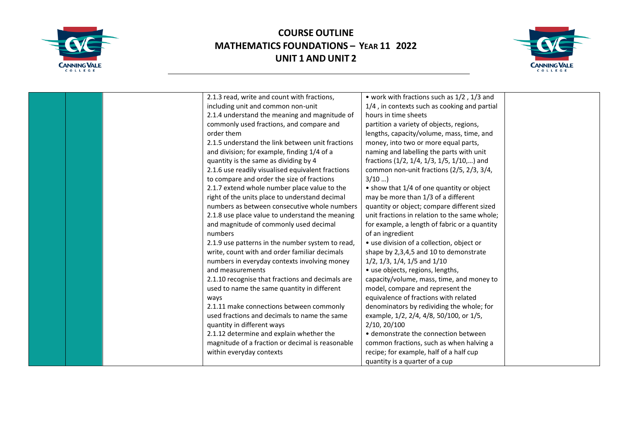



|  | 2.1.3 read, write and count with fractions,       | • work with fractions such as 1/2, 1/3 and    |  |
|--|---------------------------------------------------|-----------------------------------------------|--|
|  | including unit and common non-unit                | 1/4, in contexts such as cooking and partial  |  |
|  | 2.1.4 understand the meaning and magnitude of     | hours in time sheets                          |  |
|  | commonly used fractions, and compare and          | partition a variety of objects, regions,      |  |
|  | order them                                        | lengths, capacity/volume, mass, time, and     |  |
|  | 2.1.5 understand the link between unit fractions  | money, into two or more equal parts,          |  |
|  | and division; for example, finding 1/4 of a       | naming and labelling the parts with unit      |  |
|  | quantity is the same as dividing by 4             | fractions (1/2, 1/4, 1/3, 1/5, 1/10,) and     |  |
|  | 2.1.6 use readily visualised equivalent fractions | common non-unit fractions $(2/5, 2/3, 3/4,$   |  |
|  | to compare and order the size of fractions        | $3/10$ )                                      |  |
|  | 2.1.7 extend whole number place value to the      | • show that 1/4 of one quantity or object     |  |
|  | right of the units place to understand decimal    | may be more than 1/3 of a different           |  |
|  | numbers as between consecutive whole numbers      | quantity or object; compare different sized   |  |
|  | 2.1.8 use place value to understand the meaning   | unit fractions in relation to the same whole; |  |
|  | and magnitude of commonly used decimal            | for example, a length of fabric or a quantity |  |
|  | numbers                                           | of an ingredient                              |  |
|  | 2.1.9 use patterns in the number system to read,  | • use division of a collection, object or     |  |
|  | write, count with and order familiar decimals     | shape by 2,3,4,5 and 10 to demonstrate        |  |
|  | numbers in everyday contexts involving money      | $1/2$ , $1/3$ , $1/4$ , $1/5$ and $1/10$      |  |
|  | and measurements                                  | · use objects, regions, lengths,              |  |
|  | 2.1.10 recognise that fractions and decimals are  | capacity/volume, mass, time, and money to     |  |
|  | used to name the same quantity in different       | model, compare and represent the              |  |
|  | ways                                              | equivalence of fractions with related         |  |
|  | 2.1.11 make connections between commonly          | denominators by redividing the whole; for     |  |
|  | used fractions and decimals to name the same      | example, 1/2, 2/4, 4/8, 50/100, or 1/5,       |  |
|  | quantity in different ways                        | 2/10, 20/100                                  |  |
|  | 2.1.12 determine and explain whether the          | • demonstrate the connection between          |  |
|  | magnitude of a fraction or decimal is reasonable  | common fractions, such as when halving a      |  |
|  | within everyday contexts                          | recipe; for example, half of a half cup       |  |
|  |                                                   | quantity is a quarter of a cup                |  |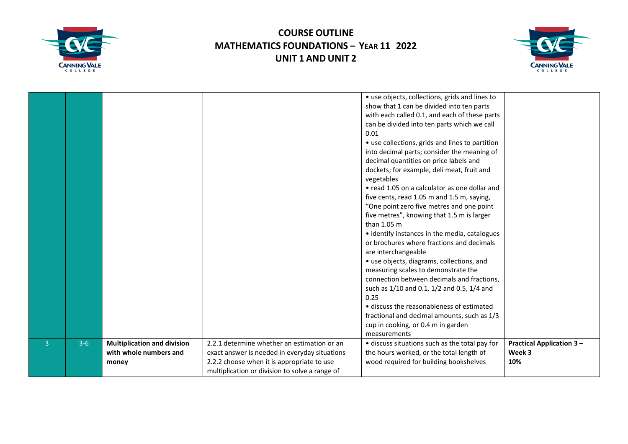



|                |       |                                                                       |                                                                                                                                                                                              | • use objects, collections, grids and lines to<br>show that 1 can be divided into ten parts<br>with each called 0.1, and each of these parts<br>can be divided into ten parts which we call<br>0.01<br>• use collections, grids and lines to partition<br>into decimal parts; consider the meaning of<br>decimal quantities on price labels and<br>dockets; for example, deli meat, fruit and<br>vegetables<br>• read 1.05 on a calculator as one dollar and<br>five cents, read 1.05 m and 1.5 m, saying,<br>"One point zero five metres and one point<br>five metres", knowing that 1.5 m is larger<br>than 1.05 m<br>• identify instances in the media, catalogues<br>or brochures where fractions and decimals<br>are interchangeable<br>• use objects, diagrams, collections, and<br>measuring scales to demonstrate the<br>connection between decimals and fractions,<br>such as 1/10 and 0.1, 1/2 and 0.5, 1/4 and<br>0.25<br>· discuss the reasonableness of estimated<br>fractional and decimal amounts, such as 1/3<br>cup in cooking, or 0.4 m in garden<br>measurements |                                                  |
|----------------|-------|-----------------------------------------------------------------------|----------------------------------------------------------------------------------------------------------------------------------------------------------------------------------------------|-------------------------------------------------------------------------------------------------------------------------------------------------------------------------------------------------------------------------------------------------------------------------------------------------------------------------------------------------------------------------------------------------------------------------------------------------------------------------------------------------------------------------------------------------------------------------------------------------------------------------------------------------------------------------------------------------------------------------------------------------------------------------------------------------------------------------------------------------------------------------------------------------------------------------------------------------------------------------------------------------------------------------------------------------------------------------------------|--------------------------------------------------|
| $\overline{3}$ | $3-6$ | <b>Multiplication and division</b><br>with whole numbers and<br>money | 2.2.1 determine whether an estimation or an<br>exact answer is needed in everyday situations<br>2.2.2 choose when it is appropriate to use<br>multiplication or division to solve a range of | · discuss situations such as the total pay for<br>the hours worked, or the total length of<br>wood required for building bookshelves                                                                                                                                                                                                                                                                                                                                                                                                                                                                                                                                                                                                                                                                                                                                                                                                                                                                                                                                                | <b>Practical Application 3-</b><br>Week 3<br>10% |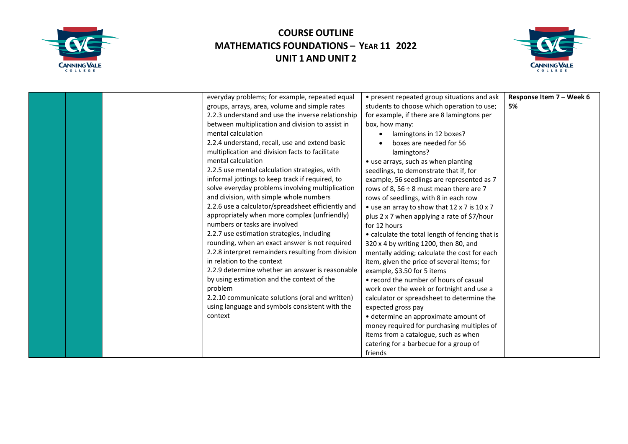



|  | everyday problems; for example, repeated equal     | • present repeated group situations and ask     | Response Item 7 - Week 6 |
|--|----------------------------------------------------|-------------------------------------------------|--------------------------|
|  | groups, arrays, area, volume and simple rates      | students to choose which operation to use;      | 5%                       |
|  | 2.2.3 understand and use the inverse relationship  | for example, if there are 8 lamingtons per      |                          |
|  | between multiplication and division to assist in   | box, how many:                                  |                          |
|  | mental calculation                                 | lamingtons in 12 boxes?                         |                          |
|  | 2.2.4 understand, recall, use and extend basic     | boxes are needed for 56                         |                          |
|  | multiplication and division facts to facilitate    | lamingtons?                                     |                          |
|  | mental calculation                                 | • use arrays, such as when planting             |                          |
|  | 2.2.5 use mental calculation strategies, with      | seedlings, to demonstrate that if, for          |                          |
|  | informal jottings to keep track if required, to    | example, 56 seedlings are represented as 7      |                          |
|  | solve everyday problems involving multiplication   | rows of 8, 56 $\div$ 8 must mean there are 7    |                          |
|  | and division, with simple whole numbers            | rows of seedlings, with 8 in each row           |                          |
|  | 2.2.6 use a calculator/spreadsheet efficiently and | • use an array to show that 12 x 7 is 10 x 7    |                          |
|  | appropriately when more complex (unfriendly)       | plus 2 x 7 when applying a rate of \$7/hour     |                          |
|  | numbers or tasks are involved                      | for 12 hours                                    |                          |
|  | 2.2.7 use estimation strategies, including         | • calculate the total length of fencing that is |                          |
|  | rounding, when an exact answer is not required     | 320 x 4 by writing 1200, then 80, and           |                          |
|  | 2.2.8 interpret remainders resulting from division | mentally adding; calculate the cost for each    |                          |
|  | in relation to the context                         | item, given the price of several items; for     |                          |
|  | 2.2.9 determine whether an answer is reasonable    | example, \$3.50 for 5 items                     |                          |
|  | by using estimation and the context of the         | • record the number of hours of casual          |                          |
|  | problem                                            | work over the week or fortnight and use a       |                          |
|  | 2.2.10 communicate solutions (oral and written)    | calculator or spreadsheet to determine the      |                          |
|  | using language and symbols consistent with the     | expected gross pay                              |                          |
|  | context                                            | • determine an approximate amount of            |                          |
|  |                                                    | money required for purchasing multiples of      |                          |
|  |                                                    | items from a catalogue, such as when            |                          |
|  |                                                    | catering for a barbecue for a group of          |                          |
|  |                                                    | friends                                         |                          |
|  |                                                    |                                                 |                          |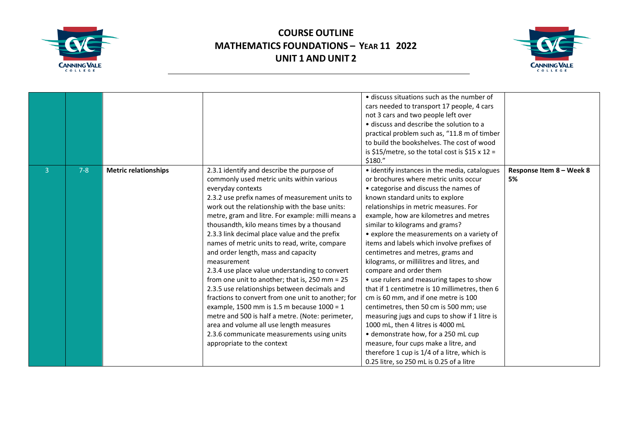



|                |         |                             |                                                                                                                                                                                                                                                                                                                                                                                                                                                                                                                                                                                                                                                                                                                                                                                                                                                                                                                  | • discuss situations such as the number of<br>cars needed to transport 17 people, 4 cars<br>not 3 cars and two people left over<br>• discuss and describe the solution to a<br>practical problem such as, "11.8 m of timber<br>to build the bookshelves. The cost of wood<br>is \$15/metre, so the total cost is \$15 x 12 =<br>\$180."                                                                                                                                                                                                                                                                                                                                                                                                                                                                                                                                                                                                          |                                |
|----------------|---------|-----------------------------|------------------------------------------------------------------------------------------------------------------------------------------------------------------------------------------------------------------------------------------------------------------------------------------------------------------------------------------------------------------------------------------------------------------------------------------------------------------------------------------------------------------------------------------------------------------------------------------------------------------------------------------------------------------------------------------------------------------------------------------------------------------------------------------------------------------------------------------------------------------------------------------------------------------|--------------------------------------------------------------------------------------------------------------------------------------------------------------------------------------------------------------------------------------------------------------------------------------------------------------------------------------------------------------------------------------------------------------------------------------------------------------------------------------------------------------------------------------------------------------------------------------------------------------------------------------------------------------------------------------------------------------------------------------------------------------------------------------------------------------------------------------------------------------------------------------------------------------------------------------------------|--------------------------------|
| $\overline{3}$ | $7 - 8$ | <b>Metric relationships</b> | 2.3.1 identify and describe the purpose of<br>commonly used metric units within various<br>everyday contexts<br>2.3.2 use prefix names of measurement units to<br>work out the relationship with the base units:<br>metre, gram and litre. For example: milli means a<br>thousandth, kilo means times by a thousand<br>2.3.3 link decimal place value and the prefix<br>names of metric units to read, write, compare<br>and order length, mass and capacity<br>measurement<br>2.3.4 use place value understanding to convert<br>from one unit to another; that is, 250 mm = 25<br>2.3.5 use relationships between decimals and<br>fractions to convert from one unit to another; for<br>example, 1500 mm is 1.5 m because $1000 = 1$<br>metre and 500 is half a metre. (Note: perimeter,<br>area and volume all use length measures<br>2.3.6 communicate measurements using units<br>appropriate to the context | • identify instances in the media, catalogues<br>or brochures where metric units occur<br>• categorise and discuss the names of<br>known standard units to explore<br>relationships in metric measures. For<br>example, how are kilometres and metres<br>similar to kilograms and grams?<br>• explore the measurements on a variety of<br>items and labels which involve prefixes of<br>centimetres and metres, grams and<br>kilograms, or millilitres and litres, and<br>compare and order them<br>• use rulers and measuring tapes to show<br>that if 1 centimetre is 10 millimetres, then 6<br>cm is 60 mm, and if one metre is 100<br>centimetres, then 50 cm is 500 mm; use<br>measuring jugs and cups to show if 1 litre is<br>1000 mL, then 4 litres is 4000 mL<br>• demonstrate how, for a 250 mL cup<br>measure, four cups make a litre, and<br>therefore 1 cup is 1/4 of a litre, which is<br>0.25 litre, so 250 mL is 0.25 of a litre | Response Item 8 - Week 8<br>5% |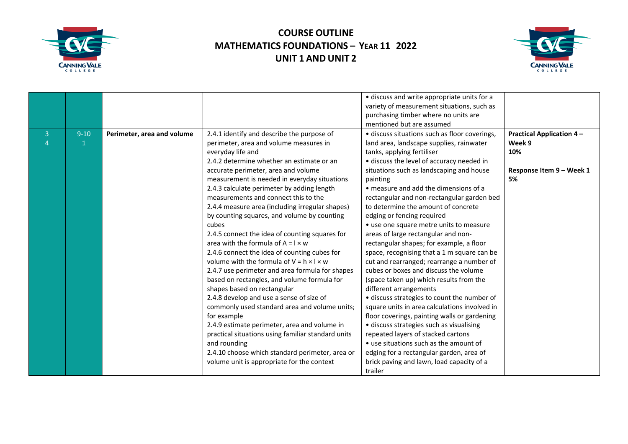



|                |              |                            |                                                      | · discuss and write appropriate units for a   |                                 |
|----------------|--------------|----------------------------|------------------------------------------------------|-----------------------------------------------|---------------------------------|
|                |              |                            |                                                      | variety of measurement situations, such as    |                                 |
|                |              |                            |                                                      | purchasing timber where no units are          |                                 |
|                |              |                            |                                                      | mentioned but are assumed                     |                                 |
| $\overline{3}$ | $9 - 10$     | Perimeter, area and volume | 2.4.1 identify and describe the purpose of           | · discuss situations such as floor coverings, | <b>Practical Application 4-</b> |
| $\Delta$       | $\mathbf{1}$ |                            | perimeter, area and volume measures in               | land area, landscape supplies, rainwater      | Week 9                          |
|                |              |                            | everyday life and                                    | tanks, applying fertiliser                    | 10%                             |
|                |              |                            | 2.4.2 determine whether an estimate or an            | · discuss the level of accuracy needed in     |                                 |
|                |              |                            | accurate perimeter, area and volume                  | situations such as landscaping and house      | Response Item 9 - Week 1        |
|                |              |                            | measurement is needed in everyday situations         | painting                                      | 5%                              |
|                |              |                            | 2.4.3 calculate perimeter by adding length           | • measure and add the dimensions of a         |                                 |
|                |              |                            | measurements and connect this to the                 | rectangular and non-rectangular garden bed    |                                 |
|                |              |                            | 2.4.4 measure area (including irregular shapes)      | to determine the amount of concrete           |                                 |
|                |              |                            | by counting squares, and volume by counting          | edging or fencing required                    |                                 |
|                |              |                            | cubes                                                | • use one square metre units to measure       |                                 |
|                |              |                            | 2.4.5 connect the idea of counting squares for       | areas of large rectangular and non-           |                                 |
|                |              |                            | area with the formula of $A = I \times W$            | rectangular shapes; for example, a floor      |                                 |
|                |              |                            | 2.4.6 connect the idea of counting cubes for         | space, recognising that a 1 m square can be   |                                 |
|                |              |                            | volume with the formula of $V = h \times l \times w$ | cut and rearranged; rearrange a number of     |                                 |
|                |              |                            | 2.4.7 use perimeter and area formula for shapes      | cubes or boxes and discuss the volume         |                                 |
|                |              |                            | based on rectangles, and volume formula for          | (space taken up) which results from the       |                                 |
|                |              |                            | shapes based on rectangular                          | different arrangements                        |                                 |
|                |              |                            | 2.4.8 develop and use a sense of size of             | • discuss strategies to count the number of   |                                 |
|                |              |                            | commonly used standard area and volume units;        | square units in area calculations involved in |                                 |
|                |              |                            | for example                                          | floor coverings, painting walls or gardening  |                                 |
|                |              |                            | 2.4.9 estimate perimeter, area and volume in         | · discuss strategies such as visualising      |                                 |
|                |              |                            | practical situations using familiar standard units   | repeated layers of stacked cartons            |                                 |
|                |              |                            | and rounding                                         | • use situations such as the amount of        |                                 |
|                |              |                            | 2.4.10 choose which standard perimeter, area or      | edging for a rectangular garden, area of      |                                 |
|                |              |                            | volume unit is appropriate for the context           | brick paving and lawn, load capacity of a     |                                 |
|                |              |                            |                                                      | trailer                                       |                                 |
|                |              |                            |                                                      |                                               |                                 |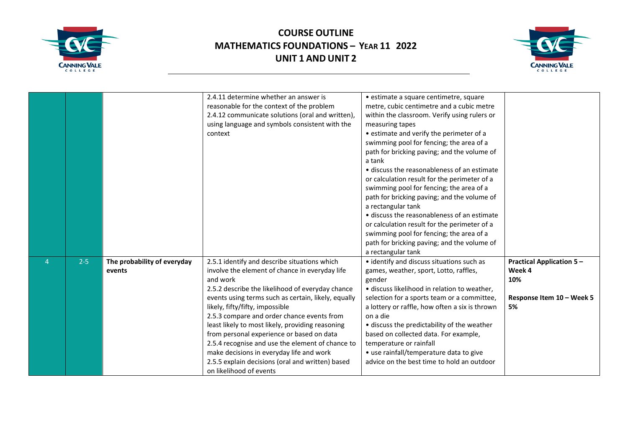



|                |         |                                       | 2.4.11 determine whether an answer is<br>reasonable for the context of the problem<br>2.4.12 communicate solutions (oral and written),<br>using language and symbols consistent with the<br>context                                                                                                                                                                                                                                                                                                                                                                                    | · estimate a square centimetre, square<br>metre, cubic centimetre and a cubic metre<br>within the classroom. Verify using rulers or<br>measuring tapes<br>• estimate and verify the perimeter of a<br>swimming pool for fencing; the area of a<br>path for bricking paving; and the volume of<br>a tank<br>• discuss the reasonableness of an estimate<br>or calculation result for the perimeter of a<br>swimming pool for fencing; the area of a<br>path for bricking paving; and the volume of<br>a rectangular tank<br>• discuss the reasonableness of an estimate<br>or calculation result for the perimeter of a<br>swimming pool for fencing; the area of a<br>path for bricking paving; and the volume of<br>a rectangular tank |                                                                                     |
|----------------|---------|---------------------------------------|----------------------------------------------------------------------------------------------------------------------------------------------------------------------------------------------------------------------------------------------------------------------------------------------------------------------------------------------------------------------------------------------------------------------------------------------------------------------------------------------------------------------------------------------------------------------------------------|-----------------------------------------------------------------------------------------------------------------------------------------------------------------------------------------------------------------------------------------------------------------------------------------------------------------------------------------------------------------------------------------------------------------------------------------------------------------------------------------------------------------------------------------------------------------------------------------------------------------------------------------------------------------------------------------------------------------------------------------|-------------------------------------------------------------------------------------|
| $\overline{4}$ | $2 - 5$ | The probability of everyday<br>events | 2.5.1 identify and describe situations which<br>involve the element of chance in everyday life<br>and work<br>2.5.2 describe the likelihood of everyday chance<br>events using terms such as certain, likely, equally<br>likely, fifty/fifty, impossible<br>2.5.3 compare and order chance events from<br>least likely to most likely, providing reasoning<br>from personal experience or based on data<br>2.5.4 recognise and use the element of chance to<br>make decisions in everyday life and work<br>2.5.5 explain decisions (oral and written) based<br>on likelihood of events | • identify and discuss situations such as<br>games, weather, sport, Lotto, raffles,<br>gender<br>· discuss likelihood in relation to weather,<br>selection for a sports team or a committee,<br>a lottery or raffle, how often a six is thrown<br>on a die<br>· discuss the predictability of the weather<br>based on collected data. For example,<br>temperature or rainfall<br>• use rainfall/temperature data to give<br>advice on the best time to hold an outdoor                                                                                                                                                                                                                                                                  | <b>Practical Application 5-</b><br>Week 4<br>10%<br>Response Item 10 - Week 5<br>5% |